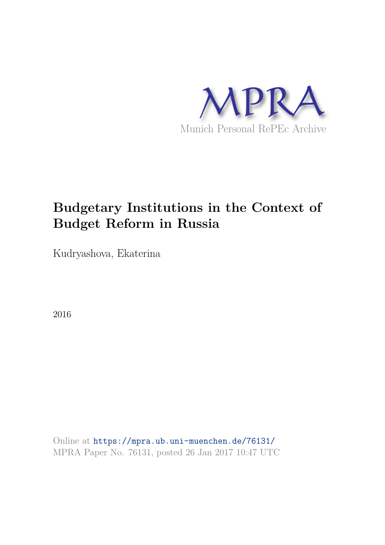

# **Budgetary Institutions in the Context of Budget Reform in Russia**

Kudryashova, Ekaterina

2016

Online at https://mpra.ub.uni-muenchen.de/76131/ MPRA Paper No. 76131, posted 26 Jan 2017 10:47 UTC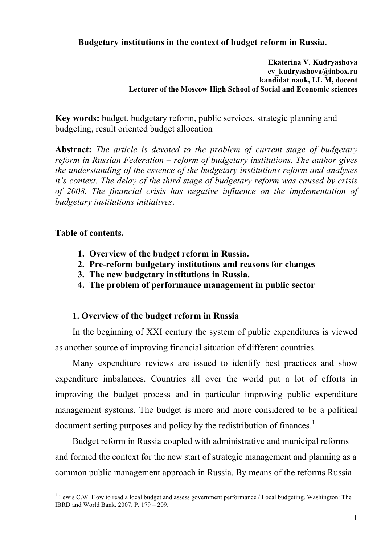## **Budgetary institutions in the context of budget reform in Russia.**

#### **Ekaterina V. Kudryashova ev\_kudryashova@inbox.ru kandidat nauk, LL M, docent Lecturer of the Moscow High School of Social and Economic sciences**

**Key words:** budget, budgetary reform, public services, strategic planning and budgeting, result oriented budget allocation

**Abstract:** *The article is devoted to the problem of current stage of budgetary reform in Russian Federation – reform of budgetary institutions. The author gives the understanding of the essence of the budgetary institutions reform and analyses it's context. The delay of the third stage of budgetary reform was caused by crisis of 2008. The financial crisis has negative influence on the implementation of budgetary institutions initiatives*.

## **Table of contents.**

- **1. Overview of the budget reform in Russia.**
- **2. Pre-reform budgetary institutions and reasons for changes**
- **3. The new budgetary institutions in Russia.**
- **4. The problem of performance management in public sector**

### **1. Overview of the budget reform in Russia**

In the beginning of XXI century the system of public expenditures is viewed as another source of improving financial situation of different countries.

Many expenditure reviews are issued to identify best practices and show expenditure imbalances. Countries all over the world put a lot of efforts in improving the budget process and in particular improving public expenditure management systems. The budget is more and more considered to be a political document setting purposes and policy by the redistribution of finances.<sup>1</sup>

Budget reform in Russia coupled with administrative and municipal reforms and formed the context for the new start of strategic management and planning as a common public management approach in Russia. By means of the reforms Russia

 $\overline{a}$  $1$  Lewis C.W. How to read a local budget and assess government performance / Local budgeting. Washington: The IBRD and World Bank. 2007. P. 179 – 209.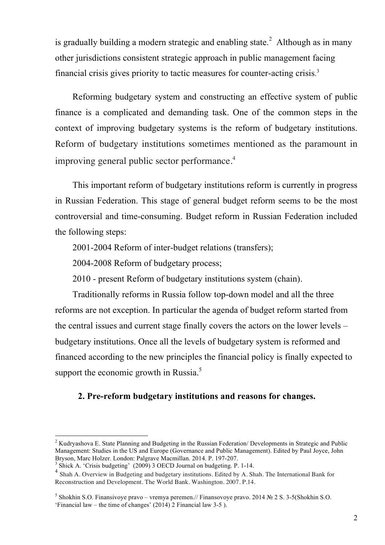is gradually building a modern strategic and enabling state.<sup>2</sup> Although as in many other jurisdictions consistent strategic approach in public management facing financial crisis gives priority to tactic measures for counter-acting crisis. 3

Reforming budgetary system and constructing an effective system of public finance is a complicated and demanding task. One of the common steps in the context of improving budgetary systems is the reform of budgetary institutions. Reform of budgetary institutions sometimes mentioned as the paramount in improving general public sector performance.<sup>4</sup>

This important reform of budgetary institutions reform is currently in progress in Russian Federation. This stage of general budget reform seems to be the most controversial and time-consuming. Budget reform in Russian Federation included the following steps:

2001-2004 Reform of inter-budget relations (transfers);

2004-2008 Reform of budgetary process;

2010 - present Reform of budgetary institutions system (chain).

Traditionally reforms in Russia follow top-down model and all the three reforms are not exception. In particular the agenda of budget reform started from the central issues and current stage finally covers the actors on the lower levels – budgetary institutions. Once all the levels of budgetary system is reformed and financed according to the new principles the financial policy is finally expected to support the economic growth in Russia.<sup>5</sup>

## **2. Pre-reform budgetary institutions and reasons for changes.**

<sup>2</sup> Kudryashova E. State Planning and Budgeting in the Russian Federation/ Developments in Strategic and Public Management: Studies in the US and Europe (Governance and Public Management). Edited by Paul Joyce, John Bryson, Marc Holzer. London: Palgrave Macmillan. 2014. P. 197-207.

<sup>&</sup>lt;sup>3</sup> Shick A. 'Crisis budgeting' (2009) 3 OECD Journal on budgeting. P. 1-14.

<sup>&</sup>lt;sup>4</sup> Shah A. Overview in Budgeting and budgetary institutions. Edited by A. Shah. The International Bank for Reconstruction and Development. The World Bank. Washington. 2007. P.14.

<sup>&</sup>lt;sup>5</sup> Shokhin S.O. Finansivoye pravo – vremya peremen.// Finansovoye pravo. 2014 № 2 S. 3-5(Shokhin S.O. 'Financial law – the time of changes' (2014) 2 Financial law 3-5 ).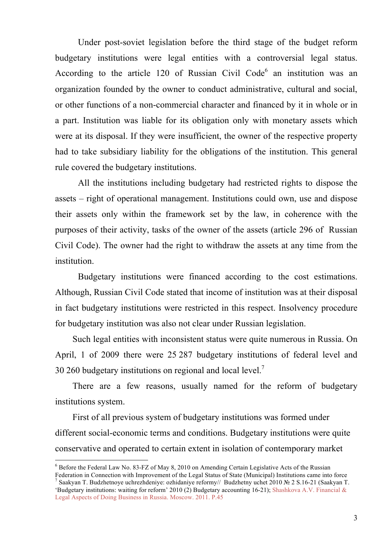Under post-soviet legislation before the third stage of the budget reform budgetary institutions were legal entities with a controversial legal status. According to the article 120 of Russian Civil Code $<sup>6</sup>$  an institution was an</sup> organization founded by the owner to conduct administrative, cultural and social, or other functions of a non-commercial character and financed by it in whole or in a part. Institution was liable for its obligation only with monetary assets which were at its disposal. If they were insufficient, the owner of the respective property had to take subsidiary liability for the obligations of the institution. This general rule covered the budgetary institutions.

All the institutions including budgetary had restricted rights to dispose the assets – right of operational management. Institutions could own, use and dispose their assets only within the framework set by the law, in coherence with the purposes of their activity, tasks of the owner of the assets (article 296 of Russian Civil Code). The owner had the right to withdraw the assets at any time from the institution.

Budgetary institutions were financed according to the cost estimations. Although, Russian Civil Code stated that income of institution was at their disposal in fact budgetary institutions were restricted in this respect. Insolvency procedure for budgetary institution was also not clear under Russian legislation.

Such legal entities with inconsistent status were quite numerous in Russia. On April, 1 of 2009 there were 25 287 budgetary institutions of federal level and 30 260 budgetary institutions on regional and local level.<sup>7</sup>

There are a few reasons, usually named for the reform of budgetary institutions system.

First of all previous system of budgetary institutions was formed under different social-economic terms and conditions. Budgetary institutions were quite conservative and operated to certain extent in isolation of contemporary market

 $\overline{a}$ 

Federation in Connection with Improvement of the Legal Status of State (Municipal) Institutions came into force 7 Saakyan T. Budzhetnoye uchrezhdeniye: ozhidaniye reformy// Budzhetny uchet 2010 № 2 S.16-21 (Saakyan T.

 $6$  Before the Federal Law No. 83-FZ of May 8, 2010 on Amending Certain Legislative Acts of the Russian

<sup>&#</sup>x27;Budgetary institutions: waiting for reform' 2010 (2) Budgetary accounting 16-21); Shashkova A.V. Financial & Legal Aspects of Doing Business in Russia. Moscow. 2011. P.45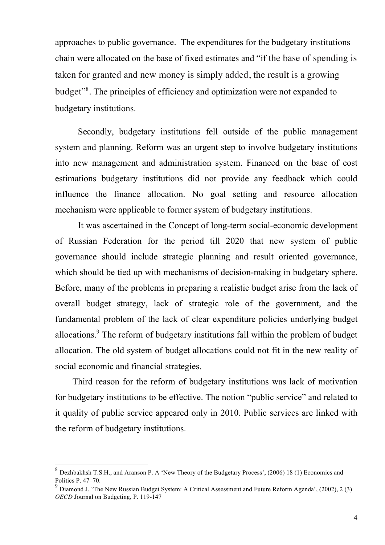approaches to public governance. The expenditures for the budgetary institutions chain were allocated on the base of fixed estimates and "if the base of spending is taken for granted and new money is simply added, the result is a growing budget" 8 . The principles of efficiency and optimization were not expanded to budgetary institutions.

Secondly, budgetary institutions fell outside of the public management system and planning. Reform was an urgent step to involve budgetary institutions into new management and administration system. Financed on the base of cost estimations budgetary institutions did not provide any feedback which could influence the finance allocation. No goal setting and resource allocation mechanism were applicable to former system of budgetary institutions.

It was ascertained in the Concept of long-term social-economic development of Russian Federation for the period till 2020 that new system of public governance should include strategic planning and result oriented governance, which should be tied up with mechanisms of decision-making in budgetary sphere. Before, many of the problems in preparing a realistic budget arise from the lack of overall budget strategy, lack of strategic role of the government, and the fundamental problem of the lack of clear expenditure policies underlying budget allocations.<sup>9</sup> The reform of budgetary institutions fall within the problem of budget allocation. The old system of budget allocations could not fit in the new reality of social economic and financial strategies.

Third reason for the reform of budgetary institutions was lack of motivation for budgetary institutions to be effective. The notion "public service" and related to it quality of public service appeared only in 2010. Public services are linked with the reform of budgetary institutions.

<sup>&</sup>lt;sup>8</sup> Dezhbakhsh T.S.H., and Aranson P. A 'New Theory of the Budgetary Process', (2006) 18 (1) Economics and Politics P. 47–70.

 $^9$  Diamond J. 'The New Russian Budget System: A Critical Assessment and Future Reform Agenda', (2002), 2 (3) *OECD* Journal on Budgeting, P. 119-147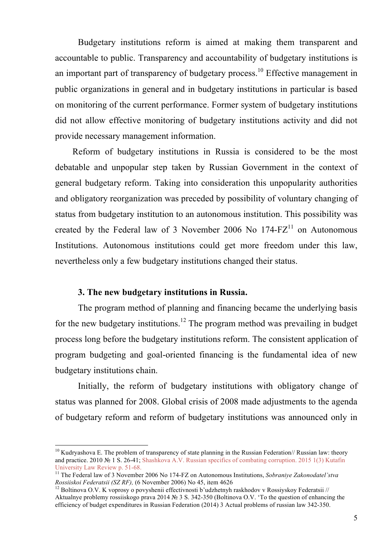Budgetary institutions reform is aimed at making them transparent and accountable to public. Transparency and accountability of budgetary institutions is an important part of transparency of budgetary process.<sup>10</sup> Effective management in public organizations in general and in budgetary institutions in particular is based on monitoring of the current performance. Former system of budgetary institutions did not allow effective monitoring of budgetary institutions activity and did not provide necessary management information.

Reform of budgetary institutions in Russia is considered to be the most debatable and unpopular step taken by Russian Government in the context of general budgetary reform. Taking into consideration this unpopularity authorities and obligatory reorganization was preceded by possibility of voluntary changing of status from budgetary institution to an autonomous institution. This possibility was created by the Federal law of 3 November 2006 No  $174-FZ<sup>11</sup>$  on Autonomous Institutions. Autonomous institutions could get more freedom under this law, nevertheless only a few budgetary institutions changed their status.

#### **3. The new budgetary institutions in Russia.**

 $\overline{a}$ 

The program method of planning and financing became the underlying basis for the new budgetary institutions.<sup>12</sup> The program method was prevailing in budget process long before the budgetary institutions reform. The consistent application of program budgeting and goal-oriented financing is the fundamental idea of new budgetary institutions chain.

Initially, the reform of budgetary institutions with obligatory change of status was planned for 2008. Global crisis of 2008 made adjustments to the agenda of budgetary reform and reform of budgetary institutions was announced only in

<sup>&</sup>lt;sup>10</sup> Kudryashova E. The problem of transparency of state planning in the Russian Federation// Russian law: theory and practice. 2010 № 1 S. 26-41; Shashkova A.V. Russian specifics of combating corruption. 2015 1(3) Kutafin University Law Review p. 51-68.

<sup>11</sup> The Federal law of 3 November 2006 No 174-FZ on Autonomous Institutions, *Sobraniye Zakonodatel'stva Rossiiskoi Federatsii (SZ RF),* (6 November 2006) No 45, item 4626

<sup>&</sup>lt;sup>12</sup> Boltinova O.V. K voprosy o povyshenii effectivnosti b'udzhetnyh raskhodov v Rossiyskoy Federatsii // Aktualnye problemy rossiiskogo prava 2014 № 3 S. 342-350 (Boltinova O.V. 'To the question of enhancing the efficiency of budget expenditures in Russian Federation (2014) 3 Actual problems of russian law 342-350.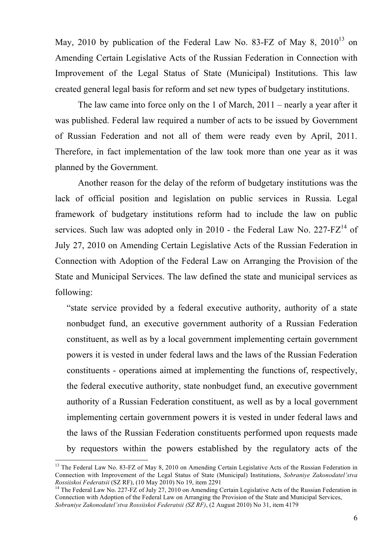May, 2010 by publication of the Federal Law No. 83-FZ of May 8, 2010 $^{13}$  on Amending Certain Legislative Acts of the Russian Federation in Connection with Improvement of the Legal Status of State (Municipal) Institutions. This law created general legal basis for reform and set new types of budgetary institutions.

The law came into force only on the 1 of March, 2011 – nearly a year after it was published. Federal law required a number of acts to be issued by Government of Russian Federation and not all of them were ready even by April, 2011. Therefore, in fact implementation of the law took more than one year as it was planned by the Government.

Another reason for the delay of the reform of budgetary institutions was the lack of official position and legislation on public services in Russia. Legal framework of budgetary institutions reform had to include the law on public services. Such law was adopted only in 2010 - the Federal Law No.  $227-FZ^{14}$  of July 27, 2010 on Amending Certain Legislative Acts of the Russian Federation in Connection with Adoption of the Federal Law on Arranging the Provision of the State and Municipal Services. The law defined the state and municipal services as following:

"state service provided by a federal executive authority, authority of a state nonbudget fund, an executive government authority of a Russian Federation constituent, as well as by a local government implementing certain government powers it is vested in under federal laws and the laws of the Russian Federation constituents - operations aimed at implementing the functions of, respectively, the federal executive authority, state nonbudget fund, an executive government authority of a Russian Federation constituent, as well as by a local government implementing certain government powers it is vested in under federal laws and the laws of the Russian Federation constituents performed upon requests made by requestors within the powers established by the regulatory acts of the

<sup>&</sup>lt;sup>13</sup> The Federal Law No. 83-FZ of May 8, 2010 on Amending Certain Legislative Acts of the Russian Federation in Connection with Improvement of the Legal Status of State (Municipal) Institutions, *Sobraniye Zakonodatel'stva Rossiiskoi Federatsii* (SZ RF), (10 May 2010) No 19, item 2291

<sup>&</sup>lt;sup>14</sup> The Federal Law No. 227-FZ of July 27, 2010 on Amending Certain Legislative Acts of the Russian Federation in Connection with Adoption of the Federal Law on Arranging the Provision of the State and Municipal Services, *Sobraniye Zakonodatel'stva Rossiiskoi Federatsii (SZ RF)*, (2 August 2010) No 31, item 4179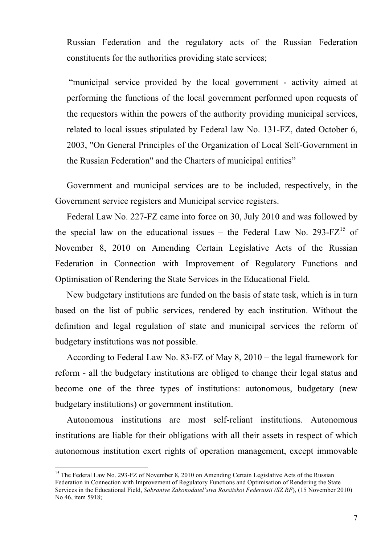Russian Federation and the regulatory acts of the Russian Federation constituents for the authorities providing state services;

"municipal service provided by the local government - activity aimed at performing the functions of the local government performed upon requests of the requestors within the powers of the authority providing municipal services, related to local issues stipulated by Federal law No. 131-FZ, dated October 6, 2003, "On General Principles of the Organization of Local Self-Government in the Russian Federation" and the Charters of municipal entities"

Government and municipal services are to be included, respectively, in the Government service registers and Municipal service registers.

Federal Law No. 227-FZ came into force on 30, July 2010 and was followed by the special law on the educational issues – the Federal Law No. 293-FZ $^{15}$  of November 8, 2010 on Amending Certain Legislative Acts of the Russian Federation in Connection with Improvement of Regulatory Functions and Optimisation of Rendering the State Services in the Educational Field.

New budgetary institutions are funded on the basis of state task, which is in turn based on the list of public services, rendered by each institution. Without the definition and legal regulation of state and municipal services the reform of budgetary institutions was not possible.

According to Federal Law No. 83-FZ of May 8, 2010 – the legal framework for reform - all the budgetary institutions are obliged to change their legal status and become one of the three types of institutions: autonomous, budgetary (new budgetary institutions) or government institution.

Autonomous institutions are most self-reliant institutions. Autonomous institutions are liable for their obligations with all their assets in respect of which autonomous institution exert rights of operation management, except immovable

<sup>&</sup>lt;sup>15</sup> The Federal Law No. 293-FZ of November 8, 2010 on Amending Certain Legislative Acts of the Russian Federation in Connection with Improvement of Regulatory Functions and Optimisation of Rendering the State Services in the Educational Field, *Sobraniye Zakonodatel'stva Rossiiskoi Federatsii (SZ RF*), (15 November 2010) No 46, item 5918;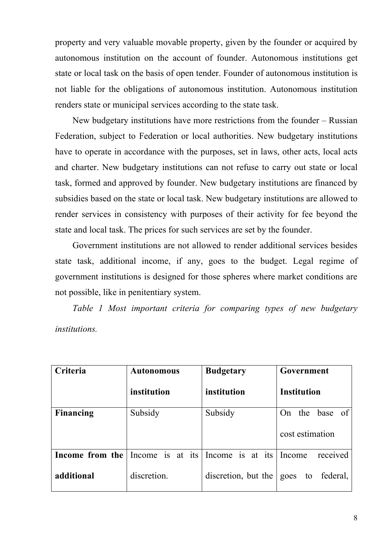property and very valuable movable property, given by the founder or acquired by autonomous institution on the account of founder. Autonomous institutions get state or local task on the basis of open tender. Founder of autonomous institution is not liable for the obligations of autonomous institution. Autonomous institution renders state or municipal services according to the state task.

New budgetary institutions have more restrictions from the founder – Russian Federation, subject to Federation or local authorities. New budgetary institutions have to operate in accordance with the purposes, set in laws, other acts, local acts and charter. New budgetary institutions can not refuse to carry out state or local task, formed and approved by founder. New budgetary institutions are financed by subsidies based on the state or local task. New budgetary institutions are allowed to render services in consistency with purposes of their activity for fee beyond the state and local task. The prices for such services are set by the founder.

Government institutions are not allowed to render additional services besides state task, additional income, if any, goes to the budget. Legal regime of government institutions is designed for those spheres where market conditions are not possible, like in penitentiary system.

*Table 1 Most important criteria for comparing types of new budgetary institutions.*

| Criteria         | <b>Autonomous</b> | <b>Budgetary</b>    | Government             |
|------------------|-------------------|---------------------|------------------------|
|                  | institution       | institution         | <b>Institution</b>     |
| <b>Financing</b> | Subsidy           | Subsidy             | the<br>base of<br>On   |
|                  |                   |                     | cost estimation        |
| Income from the  | Income is at its  | Income is at its    | received<br>Income     |
| additional       | discretion.       | discretion, but the | federal,<br>to<br>goes |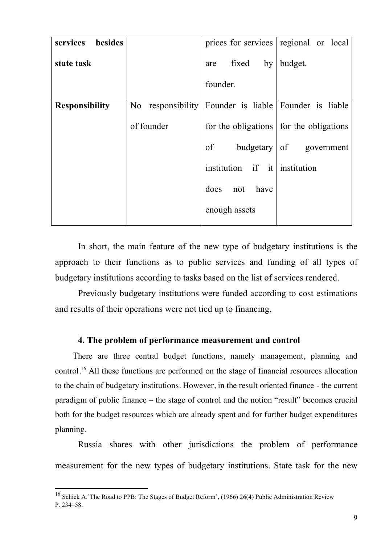|            |                     | prices for services regional or local                                               |
|------------|---------------------|-------------------------------------------------------------------------------------|
|            | fixed<br>by<br>are  | budget.                                                                             |
|            | founder.            |                                                                                     |
| No         |                     |                                                                                     |
| of founder |                     | for the obligations for the obligations                                             |
|            | of                  | budgetary   of government                                                           |
|            |                     |                                                                                     |
|            | does<br>have<br>not |                                                                                     |
|            | enough assets       |                                                                                     |
|            |                     | responsibility Founder is liable Founder is liable<br>institution if it institution |

In short, the main feature of the new type of budgetary institutions is the approach to their functions as to public services and funding of all types of budgetary institutions according to tasks based on the list of services rendered.

Previously budgetary institutions were funded according to cost estimations and results of their operations were not tied up to financing.

### **4. The problem of performance measurement and control**

There are three central budget functions, namely management, planning and control.<sup>16</sup> All these functions are performed on the stage of financial resources allocation to the chain of budgetary institutions. However, in the result oriented finance - the current paradigm of public finance – the stage of control and the notion "result" becomes crucial both for the budget resources which are already spent and for further budget expenditures planning.

Russia shares with other jurisdictions the problem of performance measurement for the new types of budgetary institutions. State task for the new

 $\overline{\phantom{a}}$ 

 $^{16}$  Schick A.'The Road to PPB: The Stages of Budget Reform', (1966) 26(4) Public Administration Review P. 234–58.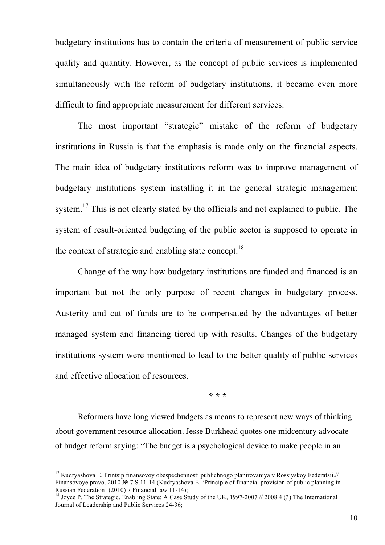budgetary institutions has to contain the criteria of measurement of public service quality and quantity. However, as the concept of public services is implemented simultaneously with the reform of budgetary institutions, it became even more difficult to find appropriate measurement for different services.

 The most important "strategic" mistake of the reform of budgetary institutions in Russia is that the emphasis is made only on the financial aspects. The main idea of budgetary institutions reform was to improve management of budgetary institutions system installing it in the general strategic management system.<sup>17</sup> This is not clearly stated by the officials and not explained to public. The system of result-oriented budgeting of the public sector is supposed to operate in the context of strategic and enabling state concept.<sup>18</sup>

Change of the way how budgetary institutions are funded and financed is an important but not the only purpose of recent changes in budgetary process. Austerity and cut of funds are to be compensated by the advantages of better managed system and financing tiered up with results. Changes of the budgetary institutions system were mentioned to lead to the better quality of public services and effective allocation of resources.

**\* \* \***

Reformers have long viewed budgets as means to represent new ways of thinking about government resource allocation. Jesse Burkhead quotes one midcentury advocate of budget reform saying: "The budget is a psychological device to make people in an

 $17$  Kudryashova E. Printsip finansovoy obespechennosti publichnogo planirovaniya v Rossiyskoy Federatsii.// Finansovoye pravo. 2010 № 7 S.11-14 (Kudryashova E. 'Principle of financial provision of public planning in Russian Federation' (2010) 7 Financial law 11-14);

<sup>&</sup>lt;sup>18</sup> Joyce P. The Strategic, Enabling State: A Case Study of the UK, 1997-2007 // 2008 4 (3) The International Journal of Leadership and Public Services 24-36;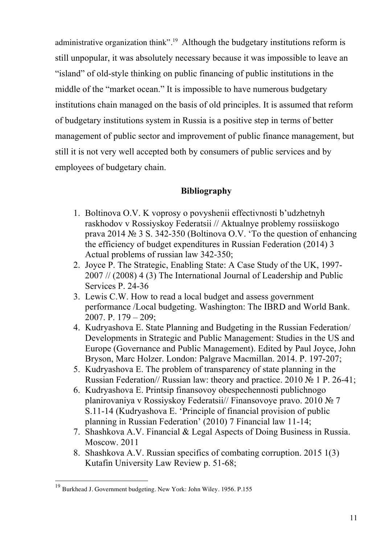administrative organization think".<sup>19</sup> Although the budgetary institutions reform is still unpopular, it was absolutely necessary because it was impossible to leave an "island" of old-style thinking on public financing of public institutions in the middle of the "market ocean." It is impossible to have numerous budgetary institutions chain managed on the basis of old principles. It is assumed that reform of budgetary institutions system in Russia is a positive step in terms of better management of public sector and improvement of public finance management, but still it is not very well accepted both by consumers of public services and by employees of budgetary chain.

## **Bibliography**

- 1. Boltinova O.V. K voprosy o povyshenii effectivnosti b'udzhetnyh raskhodov v Rossiyskoy Federatsii // Aktualnye problemy rossiiskogo prava 2014 № 3 S. 342-350 (Boltinova O.V. 'To the question of enhancing the efficiency of budget expenditures in Russian Federation (2014) 3 Actual problems of russian law 342-350;
- 2. Joyce P. The Strategic, Enabling State: A Case Study of the UK, 1997- 2007 // (2008) 4 (3) The International Journal of Leadership and Public Services P. 24-36
- 3. Lewis C.W. How to read a local budget and assess government performance /Local budgeting. Washington: The IBRD and World Bank. 2007. P. 179 – 209;
- 4. Kudryashova E. State Planning and Budgeting in the Russian Federation/ Developments in Strategic and Public Management: Studies in the US and Europe (Governance and Public Management). Edited by Paul Joyce, John Bryson, Marc Holzer. London: Palgrave Macmillan. 2014. P. 197-207;
- 5. Kudryashova E. The problem of transparency of state planning in the Russian Federation// Russian law: theory and practice. 2010 № 1 P. 26-41;
- 6. Kudryashova E. Printsip finansovoy obespechennosti publichnogo planirovaniya v Rossiyskoy Federatsii// Finansovoye pravo. 2010 № 7 S.11-14 (Kudryashova E. 'Principle of financial provision of public planning in Russian Federation' (2010) 7 Financial law 11-14;
- 7. Shashkova A.V. Financial & Legal Aspects of Doing Business in Russia. Moscow. 2011
- 8. Shashkova A.V. Russian specifics of combating corruption. 2015 1(3) Kutafin University Law Review p. 51-68;

 $\overline{\phantom{a}}$ 

<sup>19</sup> Burkhead J. Government budgeting. New York: John Wiley. 1956. P.155